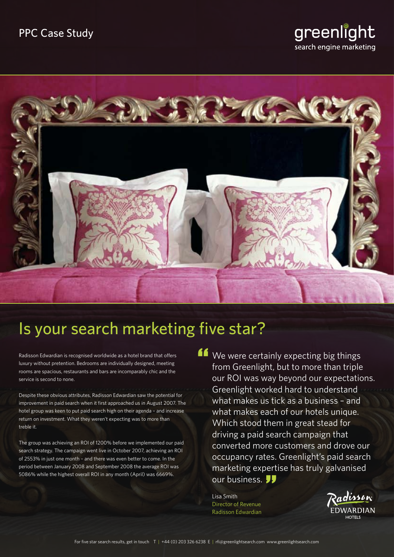# greenlight search engine marketing



# Is your search marketing five star?

Radisson Edwardian is recognised worldwide as a hotel brand that offers luxury without pretention. Bedrooms are individually designed, meeting rooms are spacious, restaurants and bars are incomparably chic and the service is second to none.

Despite these obvious attributes, Radisson Edwardian saw the potential for improvement in paid search when it first approached us in August 2007. The hotel group was keen to put paid search high on their agenda – and increase return on investment. What they weren't expecting was to more than treble it.

The group was achieving an ROI of 1200% before we implemented our paid search strategy. The campaign went live in October 2007, achieving an ROI of 2553% in just one month – and there was even better to come. In the period between January 2008 and September 2008 the average ROI was 5086% while the highest overall ROI in any month (April) was 6669%.

If We were certainly expecting big things<br>from Greenlight, but to more than triple<br>our ROI was way beyond our expectation from Greenlight, but to more than triple our ROI was way beyond our expectations. Greenlight worked hard to understand what makes us tick as a business – and what makes each of our hotels unique. Which stood them in great stead for driving a paid search campaign that converted more customers and drove our occupancy rates. Greenlight's paid search marketing expertise has truly galvanised our business. **JJ** us.<br>"ert

Lisa Smith Director of Revenue Radisson Edwardian